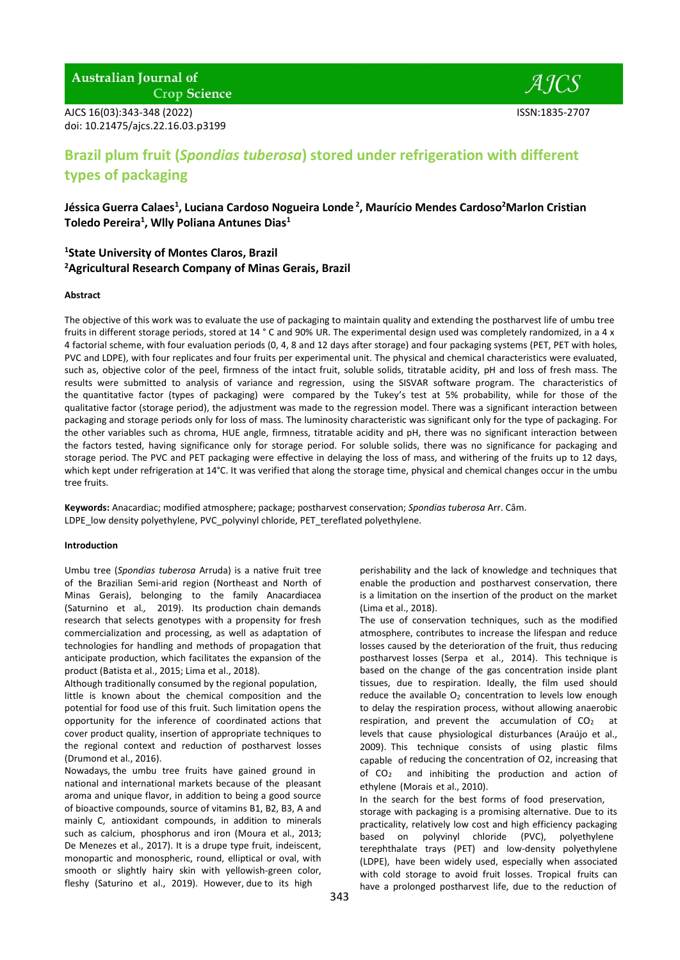# **Australian Journal of**

**Crop Science** 

AJCS 16(03):343-348 (2022) ISSN:1835-2707 doi: 10.21475/ajcs.22.16.03.p3199

 $AICS$ 

# **Brazil plum fruit (***Spondias tuberosa***) stored under refrigeration with different types of packaging**

**Jéssica Guerra Calaes 1 , Luciana Cardoso Nogueira Londe 2 , Maurício Mendes Cardoso<sup>2</sup>Marlon Cristian Toledo Pereira 1 , Wlly Poliana Antunes Dias 1**

# **1 State University of Montes Claros, Brazil <sup>2</sup>Agricultural Research Company of Minas Gerais, Brazil**

#### **Abstract**

The objective of this work was to evaluate the use of packaging to maintain quality and extending the postharvest life of umbu tree fruits in different storage periods, stored at 14 ° C and 90% UR. The experimental design used was completely randomized, in a 4 x 4 factorial scheme, with four evaluation periods (0, 4, 8 and 12 days after storage) and four packaging systems (PET, PET with holes, PVC and LDPE), with four replicates and four fruits per experimental unit. The physical and chemical characteristics were evaluated, such as, objective color of the peel, firmness of the intact fruit, soluble solids, titratable acidity, pH and loss of fresh mass. The results were submitted to analysis of variance and regression, using the SISVAR software program. The characteristics of the quantitative factor (types of packaging) were compared by the Tukey's test at 5% probability, while for those of the qualitative factor (storage period), the adjustment was made to the regression model. There was a significant interaction between packaging and storage periods only for loss of mass. The luminosity characteristic was significant only for the type of packaging. For the other variables such as chroma, HUE angle, firmness, titratable acidity and pH, there was no significant interaction between the factors tested, having significance only for storage period. For soluble solids, there was no significance for packaging and storage period. The PVC and PET packaging were effective in delaying the loss of mass, and withering of the fruits up to 12 days, which kept under refrigeration at 14°C. It was verified that along the storage time, physical and chemical changes occur in the umbu tree fruits.

**Keywords:** Anacardiac; modified atmosphere; package; postharvest conservation; *Spondias tuberosa* Arr. Câm. LDPE low density polyethylene, PVC polyvinyl chloride, PET tereflated polyethylene.

#### **Introduction**

Umbu tree (*Spondias tuberosa* Arruda) is a native fruit tree of the Brazilian Semi-arid region (Northeast and North of Minas Gerais), belonging to the family Anacardiacea (Saturnino et al*.,* 2019). Its production chain demands research that selects genotypes with a propensity for fresh commercialization and processing, as well as adaptation of technologies for handling and methods of propagation that anticipate production, which facilitates the expansion of the product (Batista et al., 2015; Lima et al., 2018).

Although traditionally consumed by the regional population, little is known about the chemical composition and the potential for food use of this fruit. Such limitation opens the opportunity for the inference of coordinated actions that cover product quality, insertion of appropriate techniques to the regional context and reduction of postharvest losses (Drumond et al., 2016).

Nowadays, the umbu tree fruits have gained ground in national and international markets because of the pleasant aroma and unique flavor, in addition to being a good source of bioactive compounds, source of vitamins B1, B2, B3, A and mainly C, antioxidant compounds, in addition to minerals such as calcium, phosphorus and iron (Moura et al., 2013; De Menezes et al., 2017). It is a drupe type fruit, indeiscent, monopartic and monospheric, round, elliptical or oval, with smooth or slightly hairy skin with yellowish-green color, fleshy (Saturino et al., 2019). However, due to its high

perishability and the lack of knowledge and techniques that enable the production and postharvest conservation, there is a limitation on the insertion of the product on the market (Lima et al., 2018).

The use of conservation techniques, such as the modified atmosphere, contributes to increase the lifespan and reduce losses caused by the deterioration of the fruit, thus reducing postharvest losses (Serpa et al., 2014). This technique is based on the change of the gas concentration inside plant tissues, due to respiration. Ideally, the film used should reduce the available  $O<sub>2</sub>$  concentration to levels low enough to delay the respiration process, without allowing anaerobic respiration, and prevent the accumulation of  $CO<sub>2</sub>$  at levels that cause physiological disturbances (Araújo et al., 2009). This technique consists of using plastic films capable of reducing the concentration of O2, increasing that of  $CO<sub>2</sub>$  and inhibiting the production and action of ethylene (Morais et al., 2010).

In the search for the best forms of food preservation, storage with packaging is a promising alternative. Due to its practicality, relatively low cost and high efficiency packaging based on polyvinyl chloride (PVC), polyethylene terephthalate trays (PET) and low-density polyethylene (LDPE), have been widely used, especially when associated with cold storage to avoid fruit losses. Tropical fruits can have a prolonged postharvest life, due to the reduction of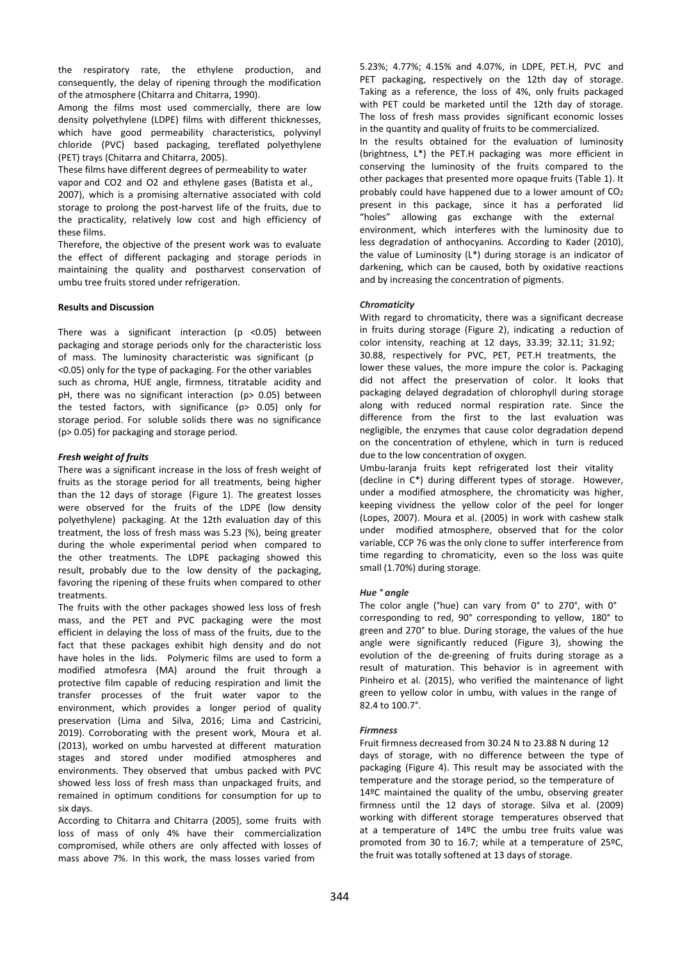the respiratory rate, the ethylene production, and consequently, the delay of ripening through the modification of the atmosphere (Chitarra and Chitarra, 1990).

Among the films most used commercially, there are low density polyethylene (LDPE) films with different thicknesses, which have good permeability characteristics, polyvinyl chloride (PVC) based packaging, tereflated polyethylene (PET) trays (Chitarra and Chitarra, 2005).

These films have different degrees of permeability to water

vapor and CO2 and O2 and ethylene gases (Batista et al., 2007), which is a promising alternative associated with cold storage to prolong the post-harvest life of the fruits, due to the practicality, relatively low cost and high efficiency of these films.

Therefore, the objective of the present work was to evaluate the effect of different packaging and storage periods in maintaining the quality and postharvest conservation of umbu tree fruits stored under refrigeration.

# **Results and Discussion**

There was a significant interaction ( $p$  <0.05) between packaging and storage periods only for the characteristic loss of mass. The luminosity characteristic was significant (p <0.05) only for the type of packaging. For the other variables such as chroma, HUE angle, firmness, titratable acidity and pH, there was no significant interaction (p> 0.05) between the tested factors, with significance (p> 0.05) only for storage period. For soluble solids there was no significance (p> 0.05) for packaging and storage period.

# *Fresh weight of fruits*

There was a significant increase in the loss of fresh weight of fruits as the storage period for all treatments, being higher than the 12 days of storage (Figure 1). The greatest losses were observed for the fruits of the LDPE (low density polyethylene) packaging. At the 12th evaluation day of this treatment, the loss of fresh mass was 5.23 (%), being greater during the whole experimental period when compared to the other treatments. The LDPE packaging showed this result, probably due to the low density of the packaging, favoring the ripening of these fruits when compared to other treatments.

The fruits with the other packages showed less loss of fresh mass, and the PET and PVC packaging were the most efficient in delaying the loss of mass of the fruits, due to the fact that these packages exhibit high density and do not have holes in the lids. Polymeric films are used to form a modified atmofesra (MA) around the fruit through a protective film capable of reducing respiration and limit the transfer processes of the fruit water vapor to the environment, which provides a longer period of quality preservation (Lima and Silva, 2016; Lima and Castricini, 2019). Corroborating with the present work, Moura et al. (2013), worked on umbu harvested at different maturation stages and stored under modified atmospheres and environments. They observed that umbus packed with PVC showed less loss of fresh mass than unpackaged fruits, and remained in optimum conditions for consumption for up to six days.

According to Chitarra and Chitarra (2005), some fruits with loss of mass of only 4% have their commercialization compromised, while others are only affected with losses of mass above 7%. In this work, the mass losses varied from

5.23%; 4.77%; 4.15% and 4.07%, in LDPE, PET.H, PVC and PET packaging, respectively on the 12th day of storage. Taking as a reference, the loss of 4%, only fruits packaged with PET could be marketed until the 12th day of storage. The loss of fresh mass provides significant economic losses in the quantity and quality of fruits to be commercialized. In the results obtained for the evaluation of luminosity (brightness, L\*) the PET.H packaging was more efficient in conserving the luminosity of the fruits compared to the other packages that presented more opaque fruits (Table 1). It probably could have happened due to a lower amount of  $CO<sub>2</sub>$ present in this package, since it has a perforated lid "holes" allowing gas exchange with the external environment, which interferes with the luminosity due to less degradation of anthocyanins. According to Kader (2010), the value of Luminosity (L\*) during storage is an indicator of darkening, which can be caused, both by oxidative reactions and by increasing the concentration of pigments.

# *Chromaticity*

With regard to chromaticity, there was a significant decrease in fruits during storage (Figure 2), indicating a reduction of color intensity, reaching at 12 days, 33.39; 32.11; 31.92; 30.88, respectively for PVC, PET, PET.H treatments, the lower these values, the more impure the color is. Packaging did not affect the preservation of color. It looks that packaging delayed degradation of chlorophyll during storage along with reduced normal respiration rate. Since the difference from the first to the last evaluation was negligible, the enzymes that cause color degradation depend on the concentration of ethylene, which in turn is reduced due to the low concentration of oxygen.

Umbu-laranja fruits kept refrigerated lost their vitality (decline in C\*) during different types of storage. However, under a modified atmosphere, the chromaticity was higher, keeping vividness the yellow color of the peel for longer (Lopes, 2007). Moura et al. (2005) in work with cashew stalk under modified atmosphere, observed that for the color variable, CCP 76 was the only clone to suffer interference from time regarding to chromaticity, even so the loss was quite small (1.70%) during storage.

# *Hue ° angle*

The color angle (°hue) can vary from 0° to 270°, with 0° corresponding to red, 90° corresponding to yellow, 180° to green and 270° to blue. During storage, the values of the hue angle were significantly reduced (Figure 3), showing the evolution of the de-greening of fruits during storage as a result of maturation. This behavior is in agreement with Pinheiro et al. (2015), who verified the maintenance of light green to yellow color in umbu, with values in the range of 82.4 to 100.7°.

# *Firmness*

Fruit firmness decreased from 30.24 N to 23.88 N during 12 days of storage, with no difference between the type of packaging (Figure 4). This result may be associated with the temperature and the storage period, so the temperature of 14ºC maintained the quality of the umbu, observing greater firmness until the 12 days of storage. Silva et al. (2009) working with different storage temperatures observed that at a temperature of 14ºC the umbu tree fruits value was promoted from 30 to 16.7; while at a temperature of 25ºC, the fruit was totally softened at 13 days of storage.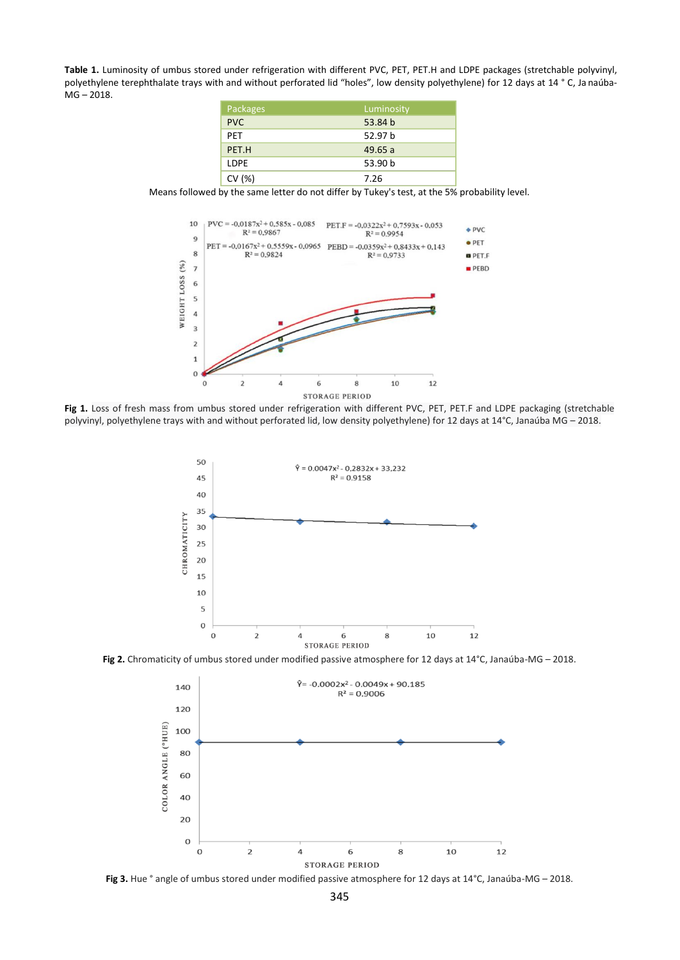**Table 1.** Luminosity of umbus stored under refrigeration with different PVC, PET, PET.H and LDPE packages (stretchable polyvinyl, polyethylene terephthalate trays with and without perforated lid "holes", low density polyethylene) for 12 days at 14 ° C, Ja naúba-MG – 2018.

| Packages   | Luminosity |
|------------|------------|
| <b>PVC</b> | 53.84 b    |
| <b>PFT</b> | 52.97 b    |
| PET.H      | 49.65a     |
| I DPF      | 53.90 b    |
| CV(%)      | 7.26       |

Means followed by the same letter do not differ by Tukey's test, at the 5% probability level.



**Fig 1.** Loss of fresh mass from umbus stored under refrigeration with different PVC, PET, PET.F and LDPE packaging (stretchable polyvinyl, polyethylene trays with and without perforated lid, low density polyethylene) for 12 days at 14°C, Janaúba MG – 2018.



**Fig 2.** Chromaticity of umbus stored under modified passive atmosphere for 12 days at 14°C, Janaúba-MG – 2018.



Fig 3. Hue ° angle of umbus stored under modified passive atmosphere for 12 days at 14°C, Janaúba-MG – 2018.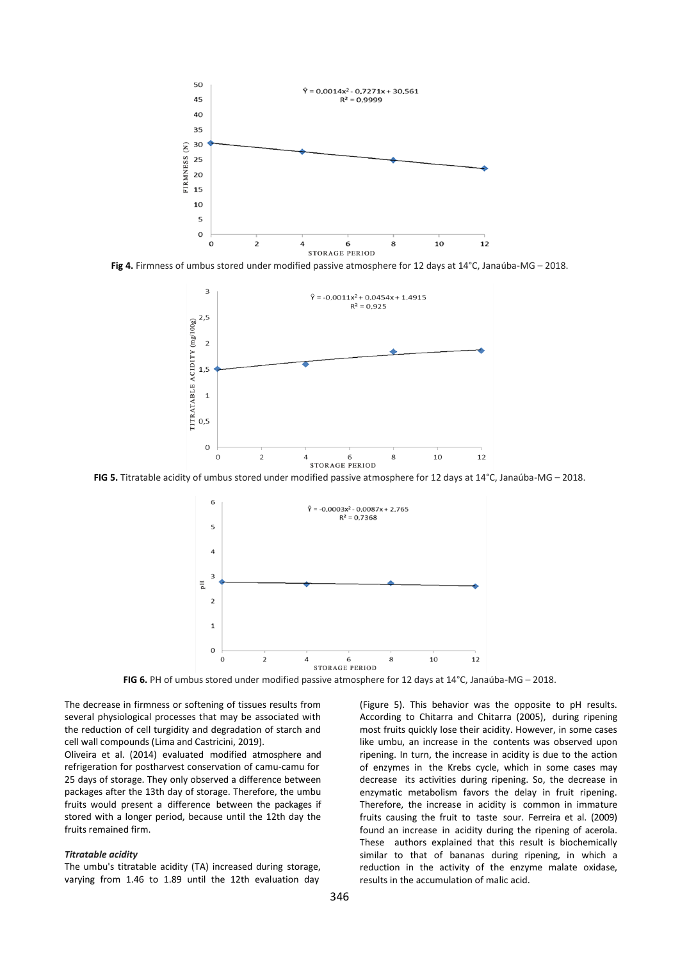

**Fig 4.** Firmness of umbus stored under modified passive atmosphere for 12 days at 14°C, Janaúba-MG – 2018.



**FIG 5.** Titratable acidity of umbus stored under modified passive atmosphere for 12 days at 14°C, Janaúba-MG – 2018.



**FIG 6.** PH of umbus stored under modified passive atmosphere for 12 days at 14°C, Janaúba-MG – 2018.

The decrease in firmness or softening of tissues results from several physiological processes that may be associated with the reduction of cell turgidity and degradation of starch and cell wall compounds (Lima and Castricini, 2019).

Oliveira et al. (2014) evaluated modified atmosphere and refrigeration for postharvest conservation of camu-camu for 25 days of storage. They only observed a difference between packages after the 13th day of storage. Therefore, the umbu fruits would present a difference between the packages if stored with a longer period, because until the 12th day the fruits remained firm.

# *Titratable acidity*

The umbu's titratable acidity (TA) increased during storage, varying from 1.46 to 1.89 until the 12th evaluation day

(Figure 5). This behavior was the opposite to pH results. According to Chitarra and Chitarra (2005), during ripening most fruits quickly lose their acidity. However, in some cases like umbu, an increase in the contents was observed upon ripening. In turn, the increase in acidity is due to the action of enzymes in the Krebs cycle, which in some cases may decrease its activities during ripening. So, the decrease in enzymatic metabolism favors the delay in fruit ripening. Therefore, the increase in acidity is common in immature fruits causing the fruit to taste sour. Ferreira et al. (2009) found an increase in acidity during the ripening of acerola. These authors explained that this result is biochemically similar to that of bananas during ripening, in which a reduction in the activity of the enzyme malate oxidase, results in the accumulation of malic acid.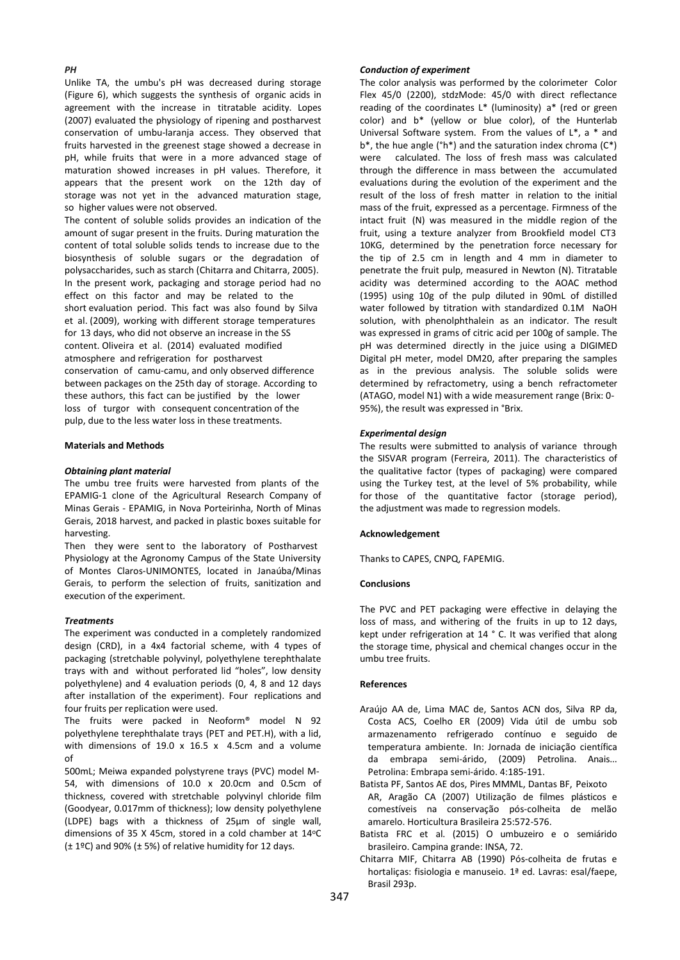# *PH*

Unlike TA, the umbu's pH was decreased during storage (Figure 6), which suggests the synthesis of organic acids in agreement with the increase in titratable acidity. Lopes (2007) evaluated the physiology of ripening and postharvest conservation of umbu-laranja access. They observed that fruits harvested in the greenest stage showed a decrease in pH, while fruits that were in a more advanced stage of maturation showed increases in pH values. Therefore, it appears that the present work on the 12th day of storage was not yet in the advanced maturation stage, so higher values were not observed.

The content of soluble solids provides an indication of the amount of sugar present in the fruits. During maturation the content of total soluble solids tends to increase due to the biosynthesis of soluble sugars or the degradation of polysaccharides, such as starch (Chitarra and Chitarra, 2005). In the present work, packaging and storage period had no effect on this factor and may be related to the short evaluation period. This fact was also found by Silva et al. (2009), working with different storage temperatures for 13 days, who did not observe an increase in the SS content. Oliveira et al. (2014) evaluated modified atmosphere and refrigeration for postharvest conservation of camu-camu, and only observed difference between packages on the 25th day of storage. According to these authors, this fact can be justified by the lower loss of turgor with consequent concentration of the pulp, due to the less water loss in these treatments.

#### **Materials and Methods**

#### *Obtaining plant material*

The umbu tree fruits were harvested from plants of the EPAMIG-1 clone of the Agricultural Research Company of Minas Gerais - EPAMIG, in Nova Porteirinha, North of Minas Gerais, 2018 harvest, and packed in plastic boxes suitable for harvesting.

Then they were sent to the laboratory of Postharvest Physiology at the Agronomy Campus of the State University of Montes Claros-UNIMONTES, located in Janaúba/Minas Gerais, to perform the selection of fruits, sanitization and execution of the experiment.

#### *Treatments*

The experiment was conducted in a completely randomized design (CRD), in a 4x4 factorial scheme, with 4 types of packaging (stretchable polyvinyl, polyethylene terephthalate trays with and without perforated lid "holes", low density polyethylene) and 4 evaluation periods (0, 4, 8 and 12 days after installation of the experiment). Four replications and four fruits per replication were used.

The fruits were packed in Neoform® model N 92 polyethylene terephthalate trays (PET and PET.H), with a lid, with dimensions of 19.0 x 16.5 x 4.5cm and a volume of

500mL; Meiwa expanded polystyrene trays (PVC) model M-54, with dimensions of 10.0 x 20.0cm and 0.5cm of thickness, covered with stretchable polyvinyl chloride film (Goodyear, 0.017mm of thickness); low density polyethylene (LDPE) bags with a thickness of 25μm of single wall, dimensions of 35 X 45cm, stored in a cold chamber at 14°C (± 1ºC) and 90% (± 5%) of relative humidity for 12 days.

#### *Conduction of experiment*

The color analysis was performed by the colorimeter Color Flex 45/0 (2200), stdzMode: 45/0 with direct reflectance reading of the coordinates L\* (luminosity) a\* (red or green color) and b\* (yellow or blue color), of the Hunterlab Universal Software system. From the values of L\*, a \* and  $b^*$ , the hue angle ( $\hat{h}^*$ ) and the saturation index chroma ( $C^*$ ) were calculated. The loss of fresh mass was calculated through the difference in mass between the accumulated evaluations during the evolution of the experiment and the result of the loss of fresh matter in relation to the initial mass of the fruit, expressed as a percentage. Firmness of the intact fruit (N) was measured in the middle region of the fruit, using a texture analyzer from Brookfield model CT3 10KG, determined by the penetration force necessary for the tip of 2.5 cm in length and 4 mm in diameter to penetrate the fruit pulp, measured in Newton (N). Titratable acidity was determined according to the AOAC method (1995) using 10g of the pulp diluted in 90mL of distilled water followed by titration with standardized 0.1M NaOH solution, with phenolphthalein as an indicator. The result was expressed in grams of citric acid per 100g of sample. The pH was determined directly in the juice using a DIGIMED Digital pH meter, model DM20, after preparing the samples as in the previous analysis. The soluble solids were determined by refractometry, using a bench refractometer (ATAGO, model N1) with a wide measurement range (Brix: 0- 95%), the result was expressed in °Brix.

#### *Experimental design*

The results were submitted to analysis of variance through the SISVAR program (Ferreira, 2011). The characteristics of the qualitative factor (types of packaging) were compared using the Turkey test, at the level of 5% probability, while for those of the quantitative factor (storage period), the adjustment was made to regression models.

#### **Acknowledgement**

Thanks to CAPES, CNPQ, FAPEMIG.

#### **Conclusions**

The PVC and PET packaging were effective in delaying the loss of mass, and withering of the fruits in up to 12 days, kept under refrigeration at 14 ° C. It was verified that along the storage time, physical and chemical changes occur in the umbu tree fruits.

#### **References**

- Araújo AA de, Lima MAC de, Santos ACN dos, Silva RP da, Costa ACS, Coelho ER (2009) Vida útil de umbu sob armazenamento refrigerado contínuo e seguido de temperatura ambiente. In: Jornada de iniciação científica da embrapa semi-árido, (2009) Petrolina. Anais... Petrolina: Embrapa semi-árido. 4:185-191.
- Batista PF, Santos AE dos, Pires MMML, Dantas BF, Peixoto AR, Aragão CA (2007) Utilização de filmes plásticos e comestíveis na conservação pós-colheita de melão amarelo. Horticultura Brasileira 25:572-576.
- Batista FRC et al. (2015) O umbuzeiro e o semiárido brasileiro. Campina grande: INSA, 72.
- Chitarra MIF, Chitarra AB (1990) Pós-colheita de frutas e hortaliças: fisiologia e manuseio. 1ª ed. Lavras: esal/faepe, Brasil 293p.